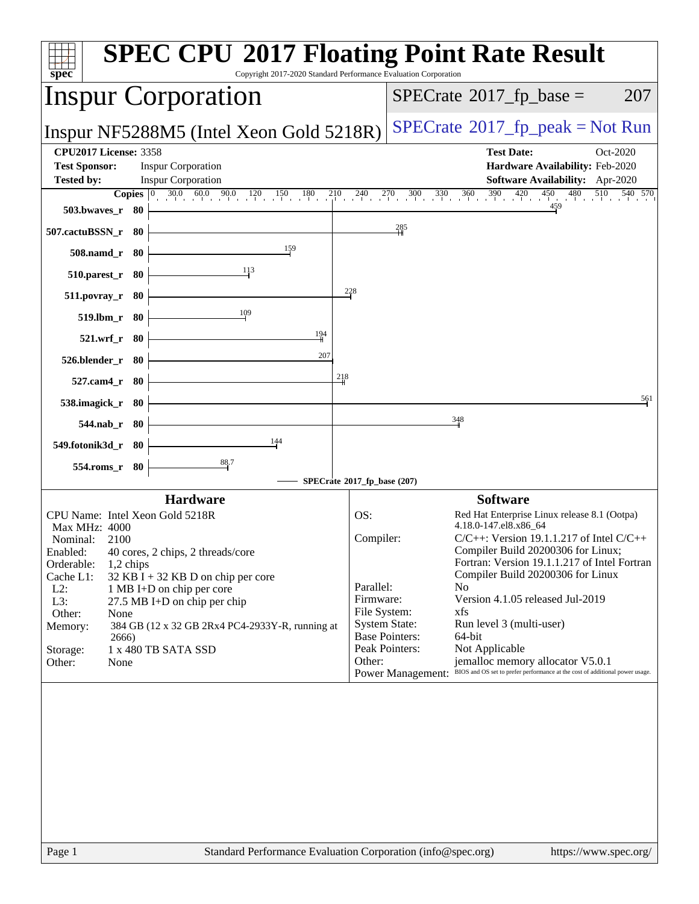| Copyright 2017-2020 Standard Performance Evaluation Corporation<br>$spec^*$                                                                                                                                                                                                                                                                                                                                                                          | <b>SPEC CPU®2017 Floating Point Rate Result</b>                                                                                                                                                                                                                                                                                                                                                                                                                                                                                                                                                                                                                                      |
|------------------------------------------------------------------------------------------------------------------------------------------------------------------------------------------------------------------------------------------------------------------------------------------------------------------------------------------------------------------------------------------------------------------------------------------------------|--------------------------------------------------------------------------------------------------------------------------------------------------------------------------------------------------------------------------------------------------------------------------------------------------------------------------------------------------------------------------------------------------------------------------------------------------------------------------------------------------------------------------------------------------------------------------------------------------------------------------------------------------------------------------------------|
| <b>Inspur Corporation</b>                                                                                                                                                                                                                                                                                                                                                                                                                            | $SPECrate^{\circledast}2017$ _fp_base =<br>207                                                                                                                                                                                                                                                                                                                                                                                                                                                                                                                                                                                                                                       |
| Inspur NF5288M5 (Intel Xeon Gold 5218R)                                                                                                                                                                                                                                                                                                                                                                                                              | $SPECTate@2017fr peak = Not Run$                                                                                                                                                                                                                                                                                                                                                                                                                                                                                                                                                                                                                                                     |
| <b>CPU2017 License: 3358</b><br><b>Test Sponsor:</b><br><b>Inspur Corporation</b><br><b>Tested by:</b><br><b>Inspur Corporation</b>                                                                                                                                                                                                                                                                                                                  | <b>Test Date:</b><br>Oct-2020<br>Hardware Availability: Feb-2020<br>Software Availability: Apr-2020<br><b>Copies</b> $\begin{bmatrix} 0 & 30.0 & 60.0 & 90.0 & 120 \end{bmatrix}$ $\begin{bmatrix} 150 & 180 & 210 & 240 & 270 & 300 & 330 & 360 & 390 & 420 & 450 & 480 & 510 & 540 & 570 \end{bmatrix}$                                                                                                                                                                                                                                                                                                                                                                            |
| 503.bwaves_r 80<br>507.cactuBSSN_r 80                                                                                                                                                                                                                                                                                                                                                                                                                | $\frac{285}{4}$                                                                                                                                                                                                                                                                                                                                                                                                                                                                                                                                                                                                                                                                      |
| 159<br>508.namd_r 80                                                                                                                                                                                                                                                                                                                                                                                                                                 |                                                                                                                                                                                                                                                                                                                                                                                                                                                                                                                                                                                                                                                                                      |
| <u>1</u> 13<br>$510.parest_r$ 80<br>$\frac{228}{5}$<br>$511. povray_r$ 80                                                                                                                                                                                                                                                                                                                                                                            |                                                                                                                                                                                                                                                                                                                                                                                                                                                                                                                                                                                                                                                                                      |
| 109<br>519.lbm_r 80                                                                                                                                                                                                                                                                                                                                                                                                                                  |                                                                                                                                                                                                                                                                                                                                                                                                                                                                                                                                                                                                                                                                                      |
| 194<br>521.wrf_r 80<br>207<br>526.blender_r 80                                                                                                                                                                                                                                                                                                                                                                                                       |                                                                                                                                                                                                                                                                                                                                                                                                                                                                                                                                                                                                                                                                                      |
| 218<br>527.cam4_r 80<br>538.imagick_r 80                                                                                                                                                                                                                                                                                                                                                                                                             | 561                                                                                                                                                                                                                                                                                                                                                                                                                                                                                                                                                                                                                                                                                  |
| 544.nab_r 80                                                                                                                                                                                                                                                                                                                                                                                                                                         | $\frac{348}{9}$                                                                                                                                                                                                                                                                                                                                                                                                                                                                                                                                                                                                                                                                      |
| 144<br>549.fotonik3d_r 80<br>$\frac{88.7}{4}$                                                                                                                                                                                                                                                                                                                                                                                                        |                                                                                                                                                                                                                                                                                                                                                                                                                                                                                                                                                                                                                                                                                      |
| 554.roms_r 80                                                                                                                                                                                                                                                                                                                                                                                                                                        | SPECrate®2017_fp_base (207)                                                                                                                                                                                                                                                                                                                                                                                                                                                                                                                                                                                                                                                          |
| <b>Hardware</b><br>CPU Name: Intel Xeon Gold 5218R<br>Max MHz: 4000<br>2100<br>Nominal:<br>Enabled:<br>40 cores, 2 chips, 2 threads/core<br>Orderable:<br>1,2 chips<br>Cache L1:<br>$32$ KB I + 32 KB D on chip per core<br>$L2$ :<br>1 MB I+D on chip per core<br>L3:<br>27.5 MB I+D on chip per chip<br>Other:<br>None<br>Memory:<br>384 GB (12 x 32 GB 2Rx4 PC4-2933Y-R, running at<br>2666)<br>1 x 480 TB SATA SSD<br>Storage:<br>Other:<br>None | <b>Software</b><br>OS:<br>Red Hat Enterprise Linux release 8.1 (Ootpa)<br>4.18.0-147.el8.x86_64<br>Compiler:<br>$C/C++$ : Version 19.1.1.217 of Intel $C/C++$<br>Compiler Build 20200306 for Linux;<br>Fortran: Version 19.1.1.217 of Intel Fortran<br>Compiler Build 20200306 for Linux<br>Parallel:<br>N <sub>0</sub><br>Version 4.1.05 released Jul-2019<br>Firmware:<br>File System:<br>xfs<br><b>System State:</b><br>Run level 3 (multi-user)<br><b>Base Pointers:</b><br>64-bit<br>Peak Pointers:<br>Not Applicable<br>Other:<br>jemalloc memory allocator V5.0.1<br>BIOS and OS set to prefer performance at the cost of additional power usage.<br><b>Power Management:</b> |
| Standard Performance Evaluation Corporation (info@spec.org)<br>Page 1                                                                                                                                                                                                                                                                                                                                                                                | https://www.spec.org/                                                                                                                                                                                                                                                                                                                                                                                                                                                                                                                                                                                                                                                                |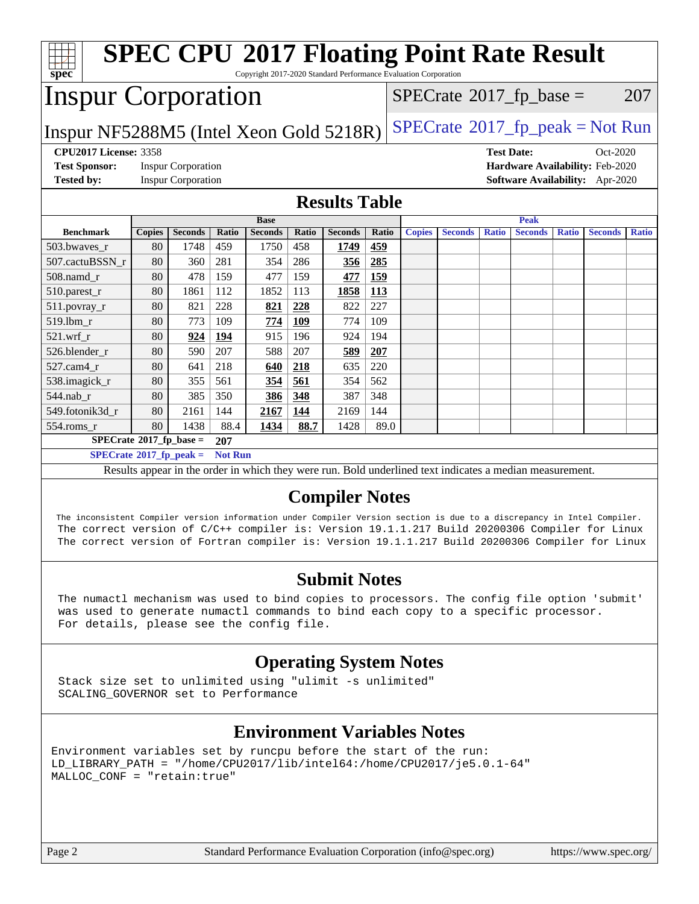| <b>SPEC CPU®2017 Floating Point Rate Result</b><br>Copyright 2017-2020 Standard Performance Evaluation Corporation<br>$spec^*$                                                                                                                     |                                               |                           |       |                |       |                      |                                         |               |                |                   |                |              |                                 |              |
|----------------------------------------------------------------------------------------------------------------------------------------------------------------------------------------------------------------------------------------------------|-----------------------------------------------|---------------------------|-------|----------------|-------|----------------------|-----------------------------------------|---------------|----------------|-------------------|----------------|--------------|---------------------------------|--------------|
|                                                                                                                                                                                                                                                    | <b>Inspur Corporation</b>                     |                           |       |                |       |                      | $SPECrate^{\circledast}2017$ _fp_base = |               |                |                   |                |              | 207                             |              |
| $SPECrate@2017_fp\_peak = Not Run$<br>Inspur NF5288M5 (Intel Xeon Gold 5218R)                                                                                                                                                                      |                                               |                           |       |                |       |                      |                                         |               |                |                   |                |              |                                 |              |
| <b>CPU2017 License: 3358</b>                                                                                                                                                                                                                       |                                               |                           |       |                |       |                      |                                         |               |                | <b>Test Date:</b> |                |              | Oct-2020                        |              |
| <b>Test Sponsor:</b>                                                                                                                                                                                                                               |                                               | <b>Inspur Corporation</b> |       |                |       |                      |                                         |               |                |                   |                |              | Hardware Availability: Feb-2020 |              |
| <b>Tested by:</b>                                                                                                                                                                                                                                  |                                               | <b>Inspur Corporation</b> |       |                |       |                      |                                         |               |                |                   |                |              | Software Availability: Apr-2020 |              |
|                                                                                                                                                                                                                                                    |                                               |                           |       |                |       | <b>Results Table</b> |                                         |               |                |                   |                |              |                                 |              |
|                                                                                                                                                                                                                                                    |                                               |                           |       | <b>Base</b>    |       |                      |                                         |               |                |                   | <b>Peak</b>    |              |                                 |              |
| <b>Benchmark</b>                                                                                                                                                                                                                                   | <b>Copies</b>                                 | <b>Seconds</b>            | Ratio | <b>Seconds</b> | Ratio | <b>Seconds</b>       | Ratio                                   | <b>Copies</b> | <b>Seconds</b> | <b>Ratio</b>      | <b>Seconds</b> | <b>Ratio</b> | <b>Seconds</b>                  | <b>Ratio</b> |
| 503.bwaves_r                                                                                                                                                                                                                                       | 80                                            | 1748                      | 459   | 1750           | 458   | 1749                 | 459                                     |               |                |                   |                |              |                                 |              |
| 507.cactuBSSN_r                                                                                                                                                                                                                                    | 80                                            | 360                       | 281   | 354            | 286   | 356                  | 285                                     |               |                |                   |                |              |                                 |              |
| 508.namd r                                                                                                                                                                                                                                         | 80                                            | 478                       | 159   | 477            | 159   | 477                  | 159                                     |               |                |                   |                |              |                                 |              |
| 510.parest_r                                                                                                                                                                                                                                       | 80                                            | 1861                      | 112   | 1852           | 113   | 1858                 | 113                                     |               |                |                   |                |              |                                 |              |
| 511.povray_r                                                                                                                                                                                                                                       | 80                                            | 821                       | 228   | 821            | 228   | 822                  | 227                                     |               |                |                   |                |              |                                 |              |
| 519.lbm_r                                                                                                                                                                                                                                          | 80                                            | 773                       | 109   | 774            | 109   | 774                  | 109                                     |               |                |                   |                |              |                                 |              |
| $521.wrf_r$                                                                                                                                                                                                                                        | 80                                            | 924                       | 194   | 915            | 196   | 924                  | 194                                     |               |                |                   |                |              |                                 |              |
| 526.blender_r                                                                                                                                                                                                                                      | 80                                            | 590                       | 207   | 588            | 207   | 589                  | 207                                     |               |                |                   |                |              |                                 |              |
| 527.cam4 r                                                                                                                                                                                                                                         | 80                                            | 641                       | 218   | 640            | 218   | 635                  | 220                                     |               |                |                   |                |              |                                 |              |
| 538.imagick_r                                                                                                                                                                                                                                      | 80                                            | 355                       | 561   | 354            | 561   | 354                  | 562                                     |               |                |                   |                |              |                                 |              |
| 544.nab r                                                                                                                                                                                                                                          | 80                                            | 385                       | 350   | 386            | 348   | 387                  | 348                                     |               |                |                   |                |              |                                 |              |
| 549.fotonik3d_r                                                                                                                                                                                                                                    | 80                                            | 2161                      | 144   | 2167           | 144   | 2169                 | 144                                     |               |                |                   |                |              |                                 |              |
| 554.roms_r                                                                                                                                                                                                                                         | 80                                            | 1438                      | 88.4  | 1434           | 88.7  | 1428                 | 89.0                                    |               |                |                   |                |              |                                 |              |
|                                                                                                                                                                                                                                                    | $SPECrate$ <sup>®</sup> 2017_fp_base =<br>207 |                           |       |                |       |                      |                                         |               |                |                   |                |              |                                 |              |
|                                                                                                                                                                                                                                                    | $SPECTate@2017_fp\_peak = Not Run$            |                           |       |                |       |                      |                                         |               |                |                   |                |              |                                 |              |
| Results appear in the order in which they were run. Bold underlined text indicates a median measurement.                                                                                                                                           |                                               |                           |       |                |       |                      |                                         |               |                |                   |                |              |                                 |              |
| <b>Compiler Notes</b><br>The inconsistent Compiler version information under Compiler Version section is due to a discrepancy in Intel Compiler.<br>The correct version of C/C++ compiler is: Version 19.1.1.217 Build 20200306 Compiler for Linux |                                               |                           |       |                |       |                      |                                         |               |                |                   |                |              |                                 |              |

#### **[Submit Notes](http://www.spec.org/auto/cpu2017/Docs/result-fields.html#SubmitNotes)**

The correct version of Fortran compiler is: Version 19.1.1.217 Build 20200306 Compiler for Linux

 The numactl mechanism was used to bind copies to processors. The config file option 'submit' was used to generate numactl commands to bind each copy to a specific processor. For details, please see the config file.

## **[Operating System Notes](http://www.spec.org/auto/cpu2017/Docs/result-fields.html#OperatingSystemNotes)**

 Stack size set to unlimited using "ulimit -s unlimited" SCALING\_GOVERNOR set to Performance

## **[Environment Variables Notes](http://www.spec.org/auto/cpu2017/Docs/result-fields.html#EnvironmentVariablesNotes)**

Environment variables set by runcpu before the start of the run: LD\_LIBRARY\_PATH = "/home/CPU2017/lib/intel64:/home/CPU2017/je5.0.1-64" MALLOC\_CONF = "retain:true"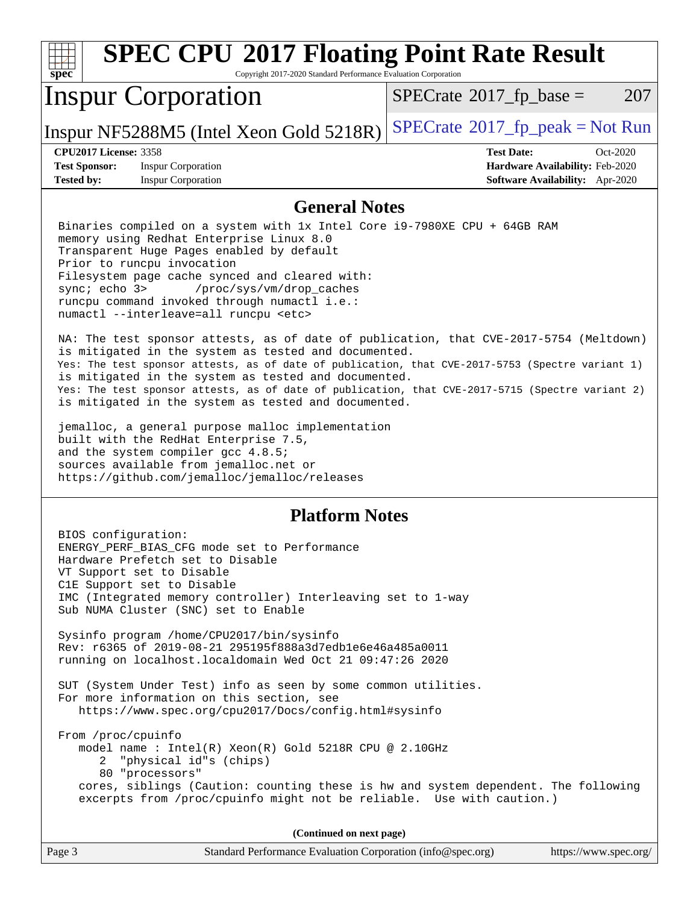| <b>SPEC CPU®2017 Floating Point Rate Result</b><br>spec<br>Copyright 2017-2020 Standard Performance Evaluation Corporation                                                                                                                                                                                                                                                                                                                                                                                                                                                                                                                                                                                                                                                                                                                                                                                                                                                                                                                                                                                         |                                                                                                     |
|--------------------------------------------------------------------------------------------------------------------------------------------------------------------------------------------------------------------------------------------------------------------------------------------------------------------------------------------------------------------------------------------------------------------------------------------------------------------------------------------------------------------------------------------------------------------------------------------------------------------------------------------------------------------------------------------------------------------------------------------------------------------------------------------------------------------------------------------------------------------------------------------------------------------------------------------------------------------------------------------------------------------------------------------------------------------------------------------------------------------|-----------------------------------------------------------------------------------------------------|
| <b>Inspur Corporation</b>                                                                                                                                                                                                                                                                                                                                                                                                                                                                                                                                                                                                                                                                                                                                                                                                                                                                                                                                                                                                                                                                                          | $SPECTate$ <sup>®</sup> 2017_fp_base =<br>207                                                       |
| Inspur NF5288M5 (Intel Xeon Gold 5218R)                                                                                                                                                                                                                                                                                                                                                                                                                                                                                                                                                                                                                                                                                                                                                                                                                                                                                                                                                                                                                                                                            | $SPECTate@2017fr peak = Not Run$                                                                    |
| <b>CPU2017 License: 3358</b><br><b>Test Sponsor:</b><br><b>Inspur Corporation</b><br><b>Tested by:</b><br><b>Inspur Corporation</b>                                                                                                                                                                                                                                                                                                                                                                                                                                                                                                                                                                                                                                                                                                                                                                                                                                                                                                                                                                                | <b>Test Date:</b><br>Oct-2020<br>Hardware Availability: Feb-2020<br>Software Availability: Apr-2020 |
| <b>General Notes</b>                                                                                                                                                                                                                                                                                                                                                                                                                                                                                                                                                                                                                                                                                                                                                                                                                                                                                                                                                                                                                                                                                               |                                                                                                     |
| Binaries compiled on a system with 1x Intel Core i9-7980XE CPU + 64GB RAM<br>memory using Redhat Enterprise Linux 8.0<br>Transparent Huge Pages enabled by default<br>Prior to runcpu invocation<br>Filesystem page cache synced and cleared with:<br>sync; echo 3><br>/proc/sys/vm/drop_caches<br>runcpu command invoked through numactl i.e.:<br>numactl --interleave=all runcpu <etc><br/>NA: The test sponsor attests, as of date of publication, that CVE-2017-5754 (Meltdown)<br/>is mitigated in the system as tested and documented.<br/>Yes: The test sponsor attests, as of date of publication, that CVE-2017-5753 (Spectre variant 1)<br/>is mitigated in the system as tested and documented.<br/>Yes: The test sponsor attests, as of date of publication, that CVE-2017-5715 (Spectre variant 2)<br/>is mitigated in the system as tested and documented.<br/>jemalloc, a general purpose malloc implementation<br/>built with the RedHat Enterprise 7.5,<br/>and the system compiler gcc 4.8.5;<br/>sources available from jemalloc.net or<br/>https://github.com/jemalloc/jemalloc/releases</etc> |                                                                                                     |
| <b>Platform Notes</b>                                                                                                                                                                                                                                                                                                                                                                                                                                                                                                                                                                                                                                                                                                                                                                                                                                                                                                                                                                                                                                                                                              |                                                                                                     |
| BIOS configuration:<br>ENERGY_PERF_BIAS_CFG mode set to Performance<br>Hardware Prefetch set to Disable<br>VT Support set to Disable<br>C1E Support set to Disable<br>IMC (Integrated memory controller) Interleaving set to 1-way<br>Sub NUMA Cluster (SNC) set to Enable<br>Sysinfo program /home/CPU2017/bin/sysinfo<br>Rev: r6365 of 2019-08-21 295195f888a3d7edb1e6e46a485a0011<br>running on localhost.localdomain Wed Oct 21 09:47:26 2020<br>SUT (System Under Test) info as seen by some common utilities.<br>For more information on this section, see<br>https://www.spec.org/cpu2017/Docs/config.html#sysinfo<br>From /proc/cpuinfo<br>model name: $Intel(R)$ Xeon $(R)$ Gold 5218R CPU @ 2.10GHz<br>"physical id"s (chips)<br>2                                                                                                                                                                                                                                                                                                                                                                       |                                                                                                     |
| 80 "processors"<br>cores, siblings (Caution: counting these is hw and system dependent. The following<br>excerpts from /proc/cpuinfo might not be reliable. Use with caution.)                                                                                                                                                                                                                                                                                                                                                                                                                                                                                                                                                                                                                                                                                                                                                                                                                                                                                                                                     |                                                                                                     |
| (Continued on next page)                                                                                                                                                                                                                                                                                                                                                                                                                                                                                                                                                                                                                                                                                                                                                                                                                                                                                                                                                                                                                                                                                           |                                                                                                     |
| Standard Performance Evaluation Corporation (info@spec.org)<br>Page 3                                                                                                                                                                                                                                                                                                                                                                                                                                                                                                                                                                                                                                                                                                                                                                                                                                                                                                                                                                                                                                              | https://www.spec.org/                                                                               |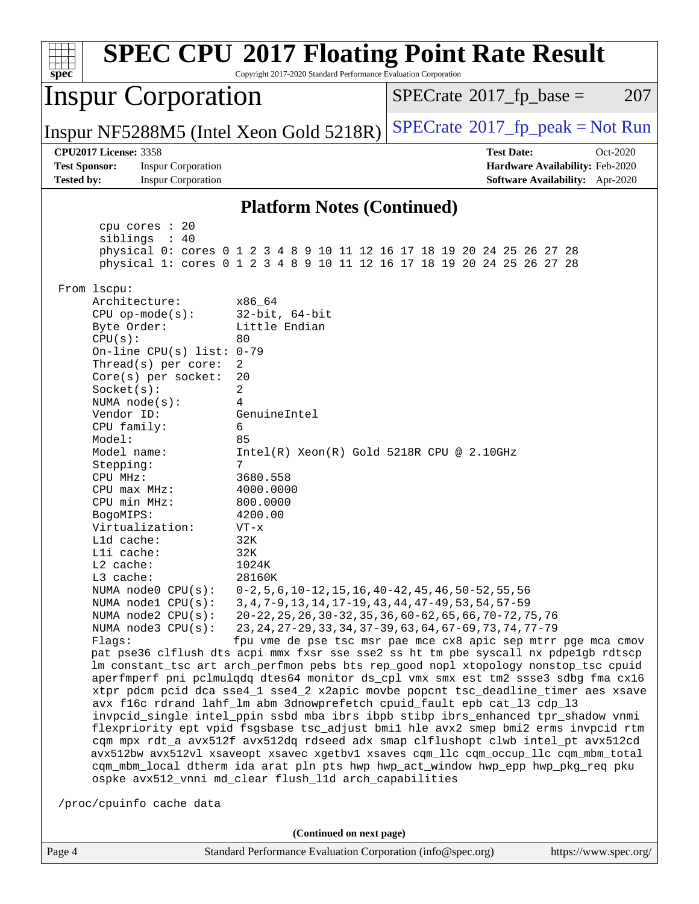| <b>SPEC CPU®2017 Floating Point Rate Result</b><br>Copyright 2017-2020 Standard Performance Evaluation Corporation<br>$spec^*$                                                                                                                                                                                                                                                                                                                                                                                                                                                                                                                                                                                                                                                                                                                                                                                                                                                                                                                                                                                                                                                                                                                                                                                                                                                                                                                                                                                                                                                                                                                                                                                                                                                                                                                                  |                                                                                                                                                                                           |
|-----------------------------------------------------------------------------------------------------------------------------------------------------------------------------------------------------------------------------------------------------------------------------------------------------------------------------------------------------------------------------------------------------------------------------------------------------------------------------------------------------------------------------------------------------------------------------------------------------------------------------------------------------------------------------------------------------------------------------------------------------------------------------------------------------------------------------------------------------------------------------------------------------------------------------------------------------------------------------------------------------------------------------------------------------------------------------------------------------------------------------------------------------------------------------------------------------------------------------------------------------------------------------------------------------------------------------------------------------------------------------------------------------------------------------------------------------------------------------------------------------------------------------------------------------------------------------------------------------------------------------------------------------------------------------------------------------------------------------------------------------------------------------------------------------------------------------------------------------------------|-------------------------------------------------------------------------------------------------------------------------------------------------------------------------------------------|
| <b>Inspur Corporation</b>                                                                                                                                                                                                                                                                                                                                                                                                                                                                                                                                                                                                                                                                                                                                                                                                                                                                                                                                                                                                                                                                                                                                                                                                                                                                                                                                                                                                                                                                                                                                                                                                                                                                                                                                                                                                                                       | $SPECrate^{\circ}2017$ _fp_base =<br>207                                                                                                                                                  |
| Inspur NF5288M5 (Intel Xeon Gold 5218R)                                                                                                                                                                                                                                                                                                                                                                                                                                                                                                                                                                                                                                                                                                                                                                                                                                                                                                                                                                                                                                                                                                                                                                                                                                                                                                                                                                                                                                                                                                                                                                                                                                                                                                                                                                                                                         | $SPECrate^{\circ}2017$ fp peak = Not Run                                                                                                                                                  |
| <b>CPU2017 License: 3358</b><br><b>Test Sponsor:</b><br><b>Inspur Corporation</b><br><b>Tested by:</b><br><b>Inspur Corporation</b>                                                                                                                                                                                                                                                                                                                                                                                                                                                                                                                                                                                                                                                                                                                                                                                                                                                                                                                                                                                                                                                                                                                                                                                                                                                                                                                                                                                                                                                                                                                                                                                                                                                                                                                             | <b>Test Date:</b><br>Oct-2020<br>Hardware Availability: Feb-2020<br><b>Software Availability:</b> Apr-2020                                                                                |
| <b>Platform Notes (Continued)</b>                                                                                                                                                                                                                                                                                                                                                                                                                                                                                                                                                                                                                                                                                                                                                                                                                                                                                                                                                                                                                                                                                                                                                                                                                                                                                                                                                                                                                                                                                                                                                                                                                                                                                                                                                                                                                               |                                                                                                                                                                                           |
| cpu cores : 20<br>siblings : 40<br>physical 0: cores 0 1 2 3 4 8 9 10 11 12 16 17 18 19 20 24 25 26 27 28<br>physical 1: cores 0 1 2 3 4 8 9 10 11 12 16 17 18 19 20 24 25 26 27 28                                                                                                                                                                                                                                                                                                                                                                                                                                                                                                                                                                                                                                                                                                                                                                                                                                                                                                                                                                                                                                                                                                                                                                                                                                                                                                                                                                                                                                                                                                                                                                                                                                                                             |                                                                                                                                                                                           |
| From 1scpu:<br>Architecture:<br>x86_64<br>$32$ -bit, $64$ -bit<br>$CPU$ op-mode( $s$ ):<br>Little Endian<br>Byte Order:<br>CPU(s):<br>80<br>On-line CPU(s) list: $0-79$<br>Thread(s) per core:<br>2<br>Core(s) per socket:<br>20<br>2<br>Socket(s):<br>NUMA $node(s):$<br>4<br>Vendor ID:<br>GenuineIntel<br>CPU family:<br>6<br>Model:<br>85<br>Model name:<br>$Intel(R) Xeon(R) Gold 5218R CPU @ 2.10GHz$<br>7<br>Stepping:<br>CPU MHz:<br>3680.558<br>4000.0000<br>$CPU$ max $MHz$ :<br>CPU min MHz:<br>800.0000<br>BogoMIPS:<br>4200.00<br>Virtualization:<br>$VT - x$<br>L1d cache:<br>32K<br>32K<br>Lli cache:<br>$L2$ cache:<br>1024K<br>L3 cache:<br>28160K<br>NUMA node0 CPU(s):<br>$0-2, 5, 6, 10-12, 15, 16, 40-42, 45, 46, 50-52, 55, 56$<br>NUMA nodel CPU(s):<br>3, 4, 7-9, 13, 14, 17-19, 43, 44, 47-49, 53, 54, 57-59<br>NUMA node2 CPU(s):<br>NUMA node3 CPU(s):<br>Flags:<br>pat pse36 clflush dts acpi mmx fxsr sse sse2 ss ht tm pbe syscall nx pdpelgb rdtscp<br>lm constant_tsc art arch_perfmon pebs bts rep_good nopl xtopology nonstop_tsc cpuid<br>aperfmperf pni pclmulqdq dtes64 monitor ds_cpl vmx smx est tm2 ssse3 sdbg fma cx16<br>xtpr pdcm pcid dca sse4_1 sse4_2 x2apic movbe popcnt tsc_deadline_timer aes xsave<br>avx f16c rdrand lahf_lm abm 3dnowprefetch cpuid_fault epb cat_13 cdp_13<br>invpcid_single intel_ppin ssbd mba ibrs ibpb stibp ibrs_enhanced tpr_shadow vnmi<br>flexpriority ept vpid fsgsbase tsc_adjust bmil hle avx2 smep bmi2 erms invpcid rtm<br>cqm mpx rdt_a avx512f avx512dq rdseed adx smap clflushopt clwb intel_pt avx512cd<br>avx512bw avx512vl xsaveopt xsavec xgetbvl xsaves cqm_llc cqm_occup_llc cqm_mbm_total<br>cqm_mbm_local dtherm ida arat pln pts hwp hwp_act_window hwp_epp hwp_pkg_req pku<br>ospke avx512_vnni md_clear flush_l1d arch_capabilities<br>/proc/cpuinfo cache data | 20-22, 25, 26, 30-32, 35, 36, 60-62, 65, 66, 70-72, 75, 76<br>23, 24, 27-29, 33, 34, 37-39, 63, 64, 67-69, 73, 74, 77-79<br>fpu vme de pse tsc msr pae mce cx8 apic sep mtrr pge mca cmov |
| (Continued on next page)                                                                                                                                                                                                                                                                                                                                                                                                                                                                                                                                                                                                                                                                                                                                                                                                                                                                                                                                                                                                                                                                                                                                                                                                                                                                                                                                                                                                                                                                                                                                                                                                                                                                                                                                                                                                                                        |                                                                                                                                                                                           |
| Page 4<br>Standard Performance Evaluation Corporation (info@spec.org)                                                                                                                                                                                                                                                                                                                                                                                                                                                                                                                                                                                                                                                                                                                                                                                                                                                                                                                                                                                                                                                                                                                                                                                                                                                                                                                                                                                                                                                                                                                                                                                                                                                                                                                                                                                           | https://www.spec.org/                                                                                                                                                                     |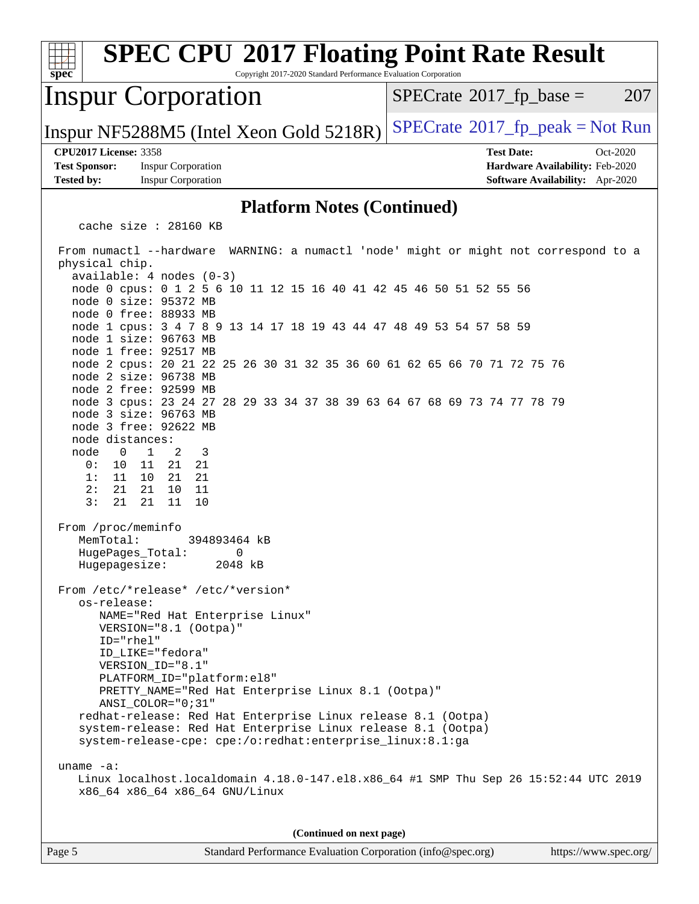| <b>SPEC CPU®2017 Floating Point Rate Result</b><br>Copyright 2017-2020 Standard Performance Evaluation Corporation<br>$spec^*$                                                                                                                                                                                                                                                                                                                                                                                                                                                                                                                                                                                                                                                                                                                                                                                                                                                                                                                                                                                                                                                                                                                                                                                                                                                                                                                                                                                                                        |                                                                                                     |
|-------------------------------------------------------------------------------------------------------------------------------------------------------------------------------------------------------------------------------------------------------------------------------------------------------------------------------------------------------------------------------------------------------------------------------------------------------------------------------------------------------------------------------------------------------------------------------------------------------------------------------------------------------------------------------------------------------------------------------------------------------------------------------------------------------------------------------------------------------------------------------------------------------------------------------------------------------------------------------------------------------------------------------------------------------------------------------------------------------------------------------------------------------------------------------------------------------------------------------------------------------------------------------------------------------------------------------------------------------------------------------------------------------------------------------------------------------------------------------------------------------------------------------------------------------|-----------------------------------------------------------------------------------------------------|
| <b>Inspur Corporation</b>                                                                                                                                                                                                                                                                                                                                                                                                                                                                                                                                                                                                                                                                                                                                                                                                                                                                                                                                                                                                                                                                                                                                                                                                                                                                                                                                                                                                                                                                                                                             | $SPECrate^{\circ}2017$ _fp_base =<br>207                                                            |
| Inspur NF5288M5 (Intel Xeon Gold 5218R)                                                                                                                                                                                                                                                                                                                                                                                                                                                                                                                                                                                                                                                                                                                                                                                                                                                                                                                                                                                                                                                                                                                                                                                                                                                                                                                                                                                                                                                                                                               | $SPECTate@2017fr peak = Not Run$                                                                    |
| <b>CPU2017 License: 3358</b><br><b>Test Sponsor:</b><br><b>Inspur Corporation</b><br><b>Tested by:</b><br><b>Inspur Corporation</b>                                                                                                                                                                                                                                                                                                                                                                                                                                                                                                                                                                                                                                                                                                                                                                                                                                                                                                                                                                                                                                                                                                                                                                                                                                                                                                                                                                                                                   | <b>Test Date:</b><br>Oct-2020<br>Hardware Availability: Feb-2020<br>Software Availability: Apr-2020 |
| <b>Platform Notes (Continued)</b>                                                                                                                                                                                                                                                                                                                                                                                                                                                                                                                                                                                                                                                                                                                                                                                                                                                                                                                                                                                                                                                                                                                                                                                                                                                                                                                                                                                                                                                                                                                     |                                                                                                     |
| cache size : 28160 KB                                                                                                                                                                                                                                                                                                                                                                                                                                                                                                                                                                                                                                                                                                                                                                                                                                                                                                                                                                                                                                                                                                                                                                                                                                                                                                                                                                                                                                                                                                                                 |                                                                                                     |
| From numactl --hardware WARNING: a numactl 'node' might or might not correspond to a<br>physical chip.<br>$available: 4 nodes (0-3)$<br>node 0 cpus: 0 1 2 5 6 10 11 12 15 16 40 41 42 45 46 50 51 52 55 56<br>node 0 size: 95372 MB<br>node 0 free: 88933 MB<br>node 1 cpus: 3 4 7 8 9 13 14 17 18 19 43 44 47 48 49 53 54 57 58 59<br>node 1 size: 96763 MB<br>node 1 free: 92517 MB<br>node 2 cpus: 20 21 22 25 26 30 31 32 35 36 60 61 62 65 66 70 71 72 75 76<br>node 2 size: 96738 MB<br>node 2 free: 92599 MB<br>node 3 cpus: 23 24 27 28 29 33 34 37 38 39 63 64 67 68 69 73 74 77 78 79<br>node 3 size: 96763 MB<br>node 3 free: 92622 MB<br>node distances:<br>$\mathbf{1}$<br>node<br>$\overline{0}$<br>2<br>3<br>0 :<br>10<br>11 21 21<br>10 21 21<br>1:11<br>2:<br>21<br>21 10 11<br>3:<br>21 11<br>21<br>10<br>From /proc/meminfo<br>MemTotal:<br>394893464 kB<br>HugePages_Total: 0<br>2048 kB<br>Hugepagesize:<br>From /etc/*release* /etc/*version*<br>os-release:<br>NAME="Red Hat Enterprise Linux"<br>VERSION="8.1 (Ootpa)"<br>ID="rhel"<br>ID_LIKE="fedora"<br>VERSION ID="8.1"<br>PLATFORM_ID="platform:el8"<br>PRETTY_NAME="Red Hat Enterprise Linux 8.1 (Ootpa)"<br>ANSI_COLOR="0;31"<br>redhat-release: Red Hat Enterprise Linux release 8.1 (Ootpa)<br>system-release: Red Hat Enterprise Linux release 8.1 (Ootpa)<br>system-release-cpe: cpe:/o:redhat:enterprise_linux:8.1:ga<br>uname $-a$ :<br>Linux localhost.localdomain 4.18.0-147.el8.x86_64 #1 SMP Thu Sep 26 15:52:44 UTC 2019<br>x86_64 x86_64 x86_64 GNU/Linux |                                                                                                     |
| (Continued on next page)                                                                                                                                                                                                                                                                                                                                                                                                                                                                                                                                                                                                                                                                                                                                                                                                                                                                                                                                                                                                                                                                                                                                                                                                                                                                                                                                                                                                                                                                                                                              |                                                                                                     |
| Standard Performance Evaluation Corporation (info@spec.org)<br>Page 5                                                                                                                                                                                                                                                                                                                                                                                                                                                                                                                                                                                                                                                                                                                                                                                                                                                                                                                                                                                                                                                                                                                                                                                                                                                                                                                                                                                                                                                                                 | https://www.spec.org/                                                                               |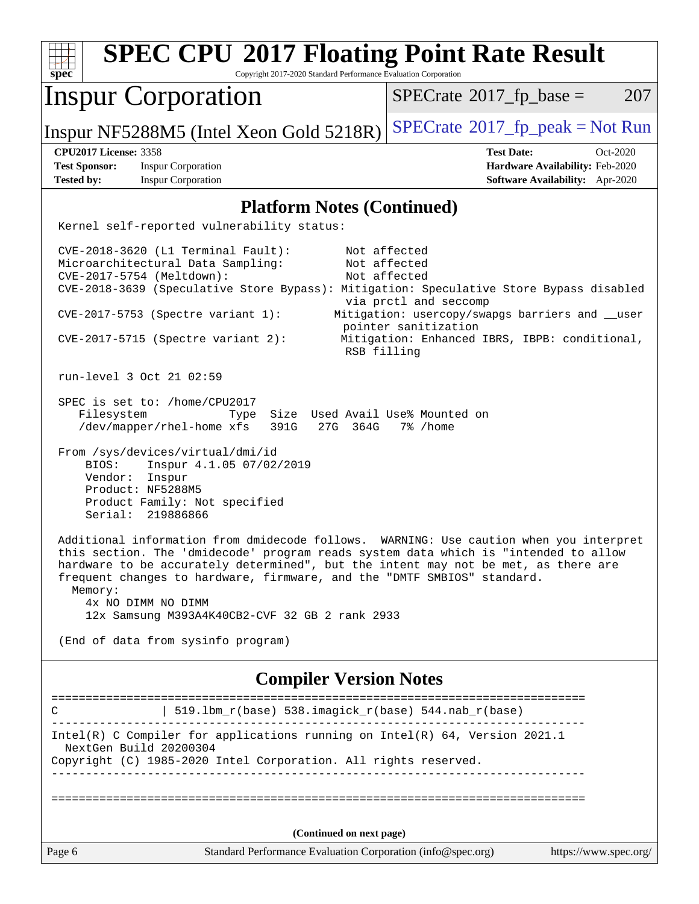| <b>SPEC CPU®2017 Floating Point Rate Result</b><br>Copyright 2017-2020 Standard Performance Evaluation Corporation<br>$s\overline{p}\overline{e}\overline{c}$                                                                                                                                                                                                                             |                                                                                                                                                                                                   |  |  |  |
|-------------------------------------------------------------------------------------------------------------------------------------------------------------------------------------------------------------------------------------------------------------------------------------------------------------------------------------------------------------------------------------------|---------------------------------------------------------------------------------------------------------------------------------------------------------------------------------------------------|--|--|--|
| <b>Inspur Corporation</b>                                                                                                                                                                                                                                                                                                                                                                 | 207<br>$SPECTate$ <sup>®</sup> 2017_fp_base =                                                                                                                                                     |  |  |  |
| Inspur NF5288M5 (Intel Xeon Gold 5218R)                                                                                                                                                                                                                                                                                                                                                   | $SPECrate^{\circ}2017$ [p_peak = Not Run                                                                                                                                                          |  |  |  |
| <b>CPU2017 License: 3358</b>                                                                                                                                                                                                                                                                                                                                                              | <b>Test Date:</b><br>Oct-2020                                                                                                                                                                     |  |  |  |
| <b>Test Sponsor:</b><br><b>Inspur Corporation</b><br><b>Tested by:</b><br><b>Inspur Corporation</b>                                                                                                                                                                                                                                                                                       | Hardware Availability: Feb-2020<br>Software Availability: Apr-2020                                                                                                                                |  |  |  |
| <b>Platform Notes (Continued)</b>                                                                                                                                                                                                                                                                                                                                                         |                                                                                                                                                                                                   |  |  |  |
| Kernel self-reported vulnerability status:                                                                                                                                                                                                                                                                                                                                                |                                                                                                                                                                                                   |  |  |  |
| $CVE-2018-3620$ (L1 Terminal Fault):<br>Microarchitectural Data Sampling:<br>CVE-2017-5754 (Meltdown):<br>CVE-2018-3639 (Speculative Store Bypass): Mitigation: Speculative Store Bypass disabled<br>$CVE-2017-5753$ (Spectre variant 1):<br>$CVE-2017-5715$ (Spectre variant 2):<br>RSB filling                                                                                          | Not affected<br>Not affected<br>Not affected<br>via prctl and seccomp<br>Mitigation: usercopy/swapgs barriers and __user<br>pointer sanitization<br>Mitigation: Enhanced IBRS, IBPB: conditional, |  |  |  |
| run-level 3 Oct 21 02:59                                                                                                                                                                                                                                                                                                                                                                  |                                                                                                                                                                                                   |  |  |  |
| SPEC is set to: /home/CPU2017<br>Filesystem<br>Size Used Avail Use% Mounted on<br>Type<br>/dev/mapper/rhel-home xfs<br>391G<br>27G 364G<br>7% /home                                                                                                                                                                                                                                       |                                                                                                                                                                                                   |  |  |  |
| From /sys/devices/virtual/dmi/id<br>Inspur 4.1.05 07/02/2019<br>BIOS:<br>Vendor:<br>Inspur<br>Product: NF5288M5<br>Product Family: Not specified<br>Serial:<br>219886866                                                                                                                                                                                                                  |                                                                                                                                                                                                   |  |  |  |
| Additional information from dmidecode follows.<br>this section. The 'dmidecode' program reads system data which is "intended to allow<br>hardware to be accurately determined", but the intent may not be met, as there are<br>frequent changes to hardware, firmware, and the "DMTF SMBIOS" standard.<br>Memory:<br>4x NO DIMM NO DIMM<br>12x Samsung M393A4K40CB2-CVF 32 GB 2 rank 2933 | WARNING: Use caution when you interpret                                                                                                                                                           |  |  |  |
| (End of data from sysinfo program)                                                                                                                                                                                                                                                                                                                                                        |                                                                                                                                                                                                   |  |  |  |
| <b>Compiler Version Notes</b>                                                                                                                                                                                                                                                                                                                                                             |                                                                                                                                                                                                   |  |  |  |
| 519.1bm_r(base) 538.imagick_r(base) 544.nab_r(base)<br>C                                                                                                                                                                                                                                                                                                                                  |                                                                                                                                                                                                   |  |  |  |
| Intel(R) C Compiler for applications running on $Intel(R) 64$ , Version 2021.1<br>NextGen Build 20200304<br>Copyright (C) 1985-2020 Intel Corporation. All rights reserved.                                                                                                                                                                                                               |                                                                                                                                                                                                   |  |  |  |
|                                                                                                                                                                                                                                                                                                                                                                                           |                                                                                                                                                                                                   |  |  |  |
| (Continued on next page)                                                                                                                                                                                                                                                                                                                                                                  |                                                                                                                                                                                                   |  |  |  |
| Page 6<br>Standard Performance Evaluation Corporation (info@spec.org)                                                                                                                                                                                                                                                                                                                     | https://www.spec.org/                                                                                                                                                                             |  |  |  |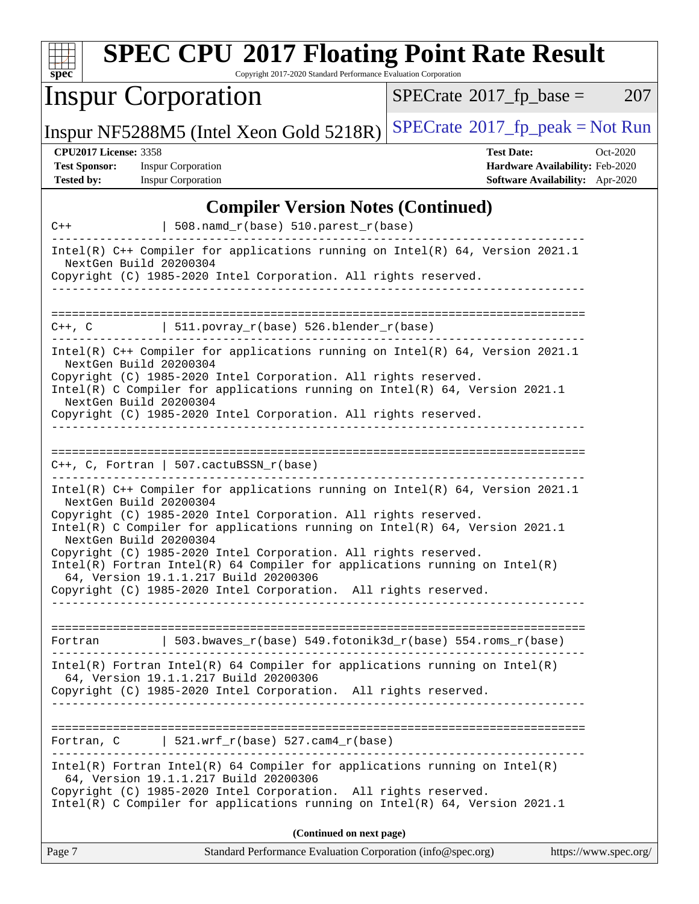| <b>SPEC CPU®2017 Floating Point Rate Result</b><br>Copyright 2017-2020 Standard Performance Evaluation Corporation<br>spec <sup>®</sup>                                                                                                                                                                                                                                                                                                   |                                                                                                     |
|-------------------------------------------------------------------------------------------------------------------------------------------------------------------------------------------------------------------------------------------------------------------------------------------------------------------------------------------------------------------------------------------------------------------------------------------|-----------------------------------------------------------------------------------------------------|
| <b>Inspur Corporation</b>                                                                                                                                                                                                                                                                                                                                                                                                                 | $SPECrate^{\circ}2017$ fp base =<br>207                                                             |
| Inspur NF5288M5 (Intel Xeon Gold 5218R)                                                                                                                                                                                                                                                                                                                                                                                                   | $SPECrate^{\circ}2017$ [p_peak = Not Run                                                            |
| <b>CPU2017 License: 3358</b><br><b>Test Sponsor:</b><br><b>Inspur Corporation</b><br><b>Inspur Corporation</b><br><b>Tested by:</b>                                                                                                                                                                                                                                                                                                       | <b>Test Date:</b><br>Oct-2020<br>Hardware Availability: Feb-2020<br>Software Availability: Apr-2020 |
| <b>Compiler Version Notes (Continued)</b><br>508.namd_r(base) 510.parest_r(base)<br>$C++$                                                                                                                                                                                                                                                                                                                                                 |                                                                                                     |
| Intel(R) C++ Compiler for applications running on Intel(R) 64, Version 2021.1<br>NextGen Build 20200304<br>Copyright (C) 1985-2020 Intel Corporation. All rights reserved.                                                                                                                                                                                                                                                                |                                                                                                     |
| $  511.povray_r(base) 526.blender_r(base)$<br>$C++$ , $C$                                                                                                                                                                                                                                                                                                                                                                                 | ===================================                                                                 |
| Intel(R) C++ Compiler for applications running on Intel(R) 64, Version 2021.1<br>NextGen Build 20200304<br>Copyright (C) 1985-2020 Intel Corporation. All rights reserved.<br>Intel(R) C Compiler for applications running on Intel(R) 64, Version 2021.1<br>NextGen Build 20200304<br>Copyright (C) 1985-2020 Intel Corporation. All rights reserved.                                                                                    |                                                                                                     |
| $C_{++}$ , C, Fortran   507.cactuBSSN_r(base)                                                                                                                                                                                                                                                                                                                                                                                             |                                                                                                     |
| Intel(R) C++ Compiler for applications running on Intel(R) $64$ , Version 2021.1<br>NextGen Build 20200304<br>Copyright (C) 1985-2020 Intel Corporation. All rights reserved.<br>Intel(R) C Compiler for applications running on Intel(R) 64, Version 2021.1<br>NextGen Build 20200304<br>Copyright (C) 1985-2020 Intel Corporation. All rights reserved.<br>$Intel(R)$ Fortran Intel(R) 64 Compiler for applications running on Intel(R) |                                                                                                     |
| 64, Version 19.1.1.217 Build 20200306<br>Copyright (C) 1985-2020 Intel Corporation. All rights reserved.                                                                                                                                                                                                                                                                                                                                  |                                                                                                     |
| Fortran   503.bwaves_r(base) 549.fotonik3d_r(base) 554.roms_r(base)                                                                                                                                                                                                                                                                                                                                                                       |                                                                                                     |
| $Intel(R)$ Fortran Intel(R) 64 Compiler for applications running on Intel(R)<br>64, Version 19.1.1.217 Build 20200306<br>Copyright (C) 1985-2020 Intel Corporation. All rights reserved.                                                                                                                                                                                                                                                  |                                                                                                     |
| Fortran, $C$   521.wrf_r(base) 527.cam4_r(base)                                                                                                                                                                                                                                                                                                                                                                                           |                                                                                                     |
| $Intel(R)$ Fortran Intel(R) 64 Compiler for applications running on Intel(R)<br>64, Version 19.1.1.217 Build 20200306<br>Copyright (C) 1985-2020 Intel Corporation. All rights reserved.<br>Intel(R) C Compiler for applications running on Intel(R) 64, Version 2021.1                                                                                                                                                                   |                                                                                                     |
| (Continued on next page)                                                                                                                                                                                                                                                                                                                                                                                                                  |                                                                                                     |
| Page 7                                                                                                                                                                                                                                                                                                                                                                                                                                    | Standard Performance Evaluation Corporation (info@spec.org)<br>https://www.spec.org/                |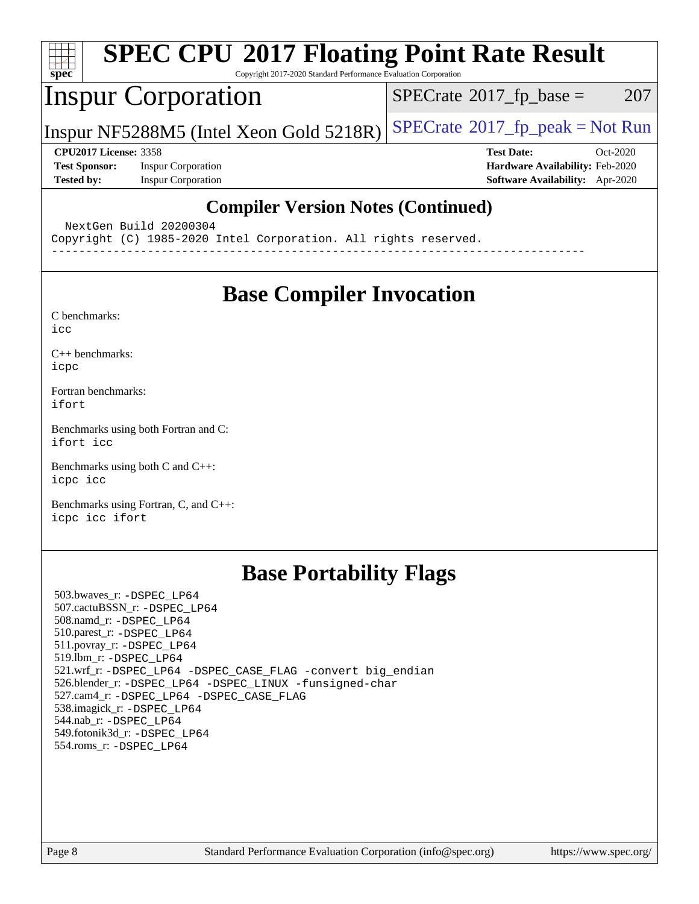

# **[SPEC CPU](http://www.spec.org/auto/cpu2017/Docs/result-fields.html#SPECCPU2017FloatingPointRateResult)[2017 Floating Point Rate Result](http://www.spec.org/auto/cpu2017/Docs/result-fields.html#SPECCPU2017FloatingPointRateResult)**

Copyright 2017-2020 Standard Performance Evaluation Corporation

## Inspur Corporation

 $SPECTate$ <sup>®</sup>[2017\\_fp\\_base =](http://www.spec.org/auto/cpu2017/Docs/result-fields.html#SPECrate2017fpbase) 207

Inspur NF5288M5 (Intel Xeon Gold  $5218R$ ) [SPECrate](http://www.spec.org/auto/cpu2017/Docs/result-fields.html#SPECrate2017fppeak)®[2017\\_fp\\_peak = N](http://www.spec.org/auto/cpu2017/Docs/result-fields.html#SPECrate2017fppeak)ot Run

**[Test Sponsor:](http://www.spec.org/auto/cpu2017/Docs/result-fields.html#TestSponsor)** Inspur Corporation **[Hardware Availability:](http://www.spec.org/auto/cpu2017/Docs/result-fields.html#HardwareAvailability)** Feb-2020 **[Tested by:](http://www.spec.org/auto/cpu2017/Docs/result-fields.html#Testedby)** Inspur Corporation **[Software Availability:](http://www.spec.org/auto/cpu2017/Docs/result-fields.html#SoftwareAvailability)** Apr-2020

**[CPU2017 License:](http://www.spec.org/auto/cpu2017/Docs/result-fields.html#CPU2017License)** 3358 **[Test Date:](http://www.spec.org/auto/cpu2017/Docs/result-fields.html#TestDate)** Oct-2020

## **[Compiler Version Notes \(Continued\)](http://www.spec.org/auto/cpu2017/Docs/result-fields.html#CompilerVersionNotes)**

NextGen Build 20200304

Copyright (C) 1985-2020 Intel Corporation. All rights reserved.

------------------------------------------------------------------------------

## **[Base Compiler Invocation](http://www.spec.org/auto/cpu2017/Docs/result-fields.html#BaseCompilerInvocation)**

[C benchmarks](http://www.spec.org/auto/cpu2017/Docs/result-fields.html#Cbenchmarks):

[icc](http://www.spec.org/cpu2017/results/res2020q4/cpu2017-20201022-24234.flags.html#user_CCbase_intel_icc_66fc1ee009f7361af1fbd72ca7dcefbb700085f36577c54f309893dd4ec40d12360134090235512931783d35fd58c0460139e722d5067c5574d8eaf2b3e37e92)

[C++ benchmarks:](http://www.spec.org/auto/cpu2017/Docs/result-fields.html#CXXbenchmarks) [icpc](http://www.spec.org/cpu2017/results/res2020q4/cpu2017-20201022-24234.flags.html#user_CXXbase_intel_icpc_c510b6838c7f56d33e37e94d029a35b4a7bccf4766a728ee175e80a419847e808290a9b78be685c44ab727ea267ec2f070ec5dc83b407c0218cded6866a35d07)

[Fortran benchmarks](http://www.spec.org/auto/cpu2017/Docs/result-fields.html#Fortranbenchmarks): [ifort](http://www.spec.org/cpu2017/results/res2020q4/cpu2017-20201022-24234.flags.html#user_FCbase_intel_ifort_8111460550e3ca792625aed983ce982f94888b8b503583aa7ba2b8303487b4d8a21a13e7191a45c5fd58ff318f48f9492884d4413fa793fd88dd292cad7027ca)

[Benchmarks using both Fortran and C](http://www.spec.org/auto/cpu2017/Docs/result-fields.html#BenchmarksusingbothFortranandC): [ifort](http://www.spec.org/cpu2017/results/res2020q4/cpu2017-20201022-24234.flags.html#user_CC_FCbase_intel_ifort_8111460550e3ca792625aed983ce982f94888b8b503583aa7ba2b8303487b4d8a21a13e7191a45c5fd58ff318f48f9492884d4413fa793fd88dd292cad7027ca) [icc](http://www.spec.org/cpu2017/results/res2020q4/cpu2017-20201022-24234.flags.html#user_CC_FCbase_intel_icc_66fc1ee009f7361af1fbd72ca7dcefbb700085f36577c54f309893dd4ec40d12360134090235512931783d35fd58c0460139e722d5067c5574d8eaf2b3e37e92)

[Benchmarks using both C and C++](http://www.spec.org/auto/cpu2017/Docs/result-fields.html#BenchmarksusingbothCandCXX): [icpc](http://www.spec.org/cpu2017/results/res2020q4/cpu2017-20201022-24234.flags.html#user_CC_CXXbase_intel_icpc_c510b6838c7f56d33e37e94d029a35b4a7bccf4766a728ee175e80a419847e808290a9b78be685c44ab727ea267ec2f070ec5dc83b407c0218cded6866a35d07) [icc](http://www.spec.org/cpu2017/results/res2020q4/cpu2017-20201022-24234.flags.html#user_CC_CXXbase_intel_icc_66fc1ee009f7361af1fbd72ca7dcefbb700085f36577c54f309893dd4ec40d12360134090235512931783d35fd58c0460139e722d5067c5574d8eaf2b3e37e92)

[Benchmarks using Fortran, C, and C++:](http://www.spec.org/auto/cpu2017/Docs/result-fields.html#BenchmarksusingFortranCandCXX) [icpc](http://www.spec.org/cpu2017/results/res2020q4/cpu2017-20201022-24234.flags.html#user_CC_CXX_FCbase_intel_icpc_c510b6838c7f56d33e37e94d029a35b4a7bccf4766a728ee175e80a419847e808290a9b78be685c44ab727ea267ec2f070ec5dc83b407c0218cded6866a35d07) [icc](http://www.spec.org/cpu2017/results/res2020q4/cpu2017-20201022-24234.flags.html#user_CC_CXX_FCbase_intel_icc_66fc1ee009f7361af1fbd72ca7dcefbb700085f36577c54f309893dd4ec40d12360134090235512931783d35fd58c0460139e722d5067c5574d8eaf2b3e37e92) [ifort](http://www.spec.org/cpu2017/results/res2020q4/cpu2017-20201022-24234.flags.html#user_CC_CXX_FCbase_intel_ifort_8111460550e3ca792625aed983ce982f94888b8b503583aa7ba2b8303487b4d8a21a13e7191a45c5fd58ff318f48f9492884d4413fa793fd88dd292cad7027ca)

## **[Base Portability Flags](http://www.spec.org/auto/cpu2017/Docs/result-fields.html#BasePortabilityFlags)**

 503.bwaves\_r: [-DSPEC\\_LP64](http://www.spec.org/cpu2017/results/res2020q4/cpu2017-20201022-24234.flags.html#suite_basePORTABILITY503_bwaves_r_DSPEC_LP64) 507.cactuBSSN\_r: [-DSPEC\\_LP64](http://www.spec.org/cpu2017/results/res2020q4/cpu2017-20201022-24234.flags.html#suite_basePORTABILITY507_cactuBSSN_r_DSPEC_LP64) 508.namd\_r: [-DSPEC\\_LP64](http://www.spec.org/cpu2017/results/res2020q4/cpu2017-20201022-24234.flags.html#suite_basePORTABILITY508_namd_r_DSPEC_LP64) 510.parest\_r: [-DSPEC\\_LP64](http://www.spec.org/cpu2017/results/res2020q4/cpu2017-20201022-24234.flags.html#suite_basePORTABILITY510_parest_r_DSPEC_LP64) 511.povray\_r: [-DSPEC\\_LP64](http://www.spec.org/cpu2017/results/res2020q4/cpu2017-20201022-24234.flags.html#suite_basePORTABILITY511_povray_r_DSPEC_LP64) 519.lbm\_r: [-DSPEC\\_LP64](http://www.spec.org/cpu2017/results/res2020q4/cpu2017-20201022-24234.flags.html#suite_basePORTABILITY519_lbm_r_DSPEC_LP64) 521.wrf\_r: [-DSPEC\\_LP64](http://www.spec.org/cpu2017/results/res2020q4/cpu2017-20201022-24234.flags.html#suite_basePORTABILITY521_wrf_r_DSPEC_LP64) [-DSPEC\\_CASE\\_FLAG](http://www.spec.org/cpu2017/results/res2020q4/cpu2017-20201022-24234.flags.html#b521.wrf_r_baseCPORTABILITY_DSPEC_CASE_FLAG) [-convert big\\_endian](http://www.spec.org/cpu2017/results/res2020q4/cpu2017-20201022-24234.flags.html#user_baseFPORTABILITY521_wrf_r_convert_big_endian_c3194028bc08c63ac5d04de18c48ce6d347e4e562e8892b8bdbdc0214820426deb8554edfa529a3fb25a586e65a3d812c835984020483e7e73212c4d31a38223) 526.blender\_r: [-DSPEC\\_LP64](http://www.spec.org/cpu2017/results/res2020q4/cpu2017-20201022-24234.flags.html#suite_basePORTABILITY526_blender_r_DSPEC_LP64) [-DSPEC\\_LINUX](http://www.spec.org/cpu2017/results/res2020q4/cpu2017-20201022-24234.flags.html#b526.blender_r_baseCPORTABILITY_DSPEC_LINUX) [-funsigned-char](http://www.spec.org/cpu2017/results/res2020q4/cpu2017-20201022-24234.flags.html#user_baseCPORTABILITY526_blender_r_force_uchar_40c60f00ab013830e2dd6774aeded3ff59883ba5a1fc5fc14077f794d777847726e2a5858cbc7672e36e1b067e7e5c1d9a74f7176df07886a243d7cc18edfe67) 527.cam4\_r: [-DSPEC\\_LP64](http://www.spec.org/cpu2017/results/res2020q4/cpu2017-20201022-24234.flags.html#suite_basePORTABILITY527_cam4_r_DSPEC_LP64) [-DSPEC\\_CASE\\_FLAG](http://www.spec.org/cpu2017/results/res2020q4/cpu2017-20201022-24234.flags.html#b527.cam4_r_baseCPORTABILITY_DSPEC_CASE_FLAG) 538.imagick\_r: [-DSPEC\\_LP64](http://www.spec.org/cpu2017/results/res2020q4/cpu2017-20201022-24234.flags.html#suite_basePORTABILITY538_imagick_r_DSPEC_LP64) 544.nab\_r: [-DSPEC\\_LP64](http://www.spec.org/cpu2017/results/res2020q4/cpu2017-20201022-24234.flags.html#suite_basePORTABILITY544_nab_r_DSPEC_LP64) 549.fotonik3d\_r: [-DSPEC\\_LP64](http://www.spec.org/cpu2017/results/res2020q4/cpu2017-20201022-24234.flags.html#suite_basePORTABILITY549_fotonik3d_r_DSPEC_LP64) 554.roms\_r: [-DSPEC\\_LP64](http://www.spec.org/cpu2017/results/res2020q4/cpu2017-20201022-24234.flags.html#suite_basePORTABILITY554_roms_r_DSPEC_LP64)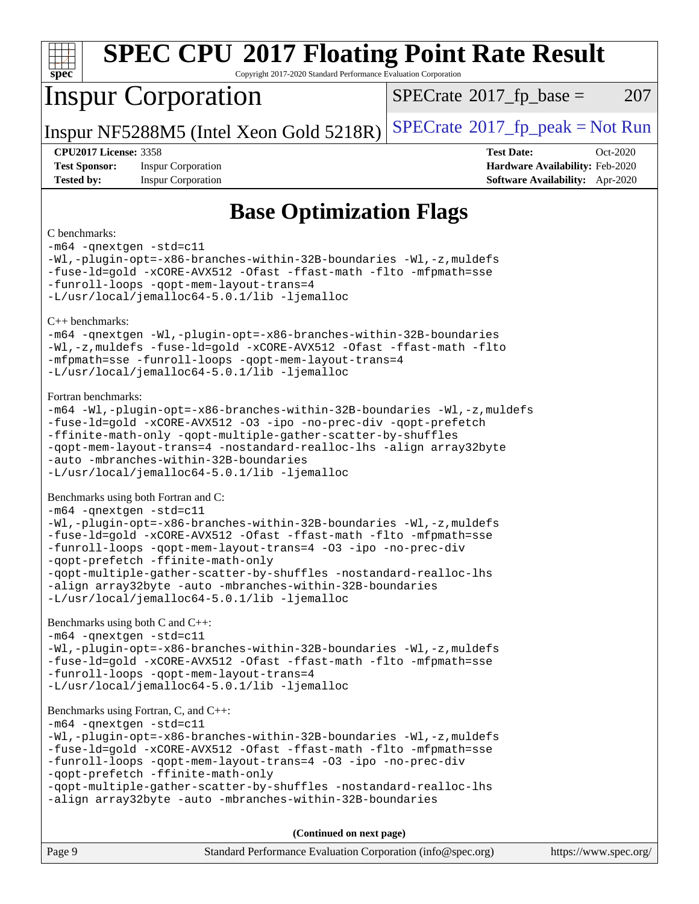| <b>SPEC CPU®2017 Floating Point Rate Result</b><br>Copyright 2017-2020 Standard Performance Evaluation Corporation<br>spec                                                                                                                                                                                                                                                                                                                                                                          |                                               |  |  |  |
|-----------------------------------------------------------------------------------------------------------------------------------------------------------------------------------------------------------------------------------------------------------------------------------------------------------------------------------------------------------------------------------------------------------------------------------------------------------------------------------------------------|-----------------------------------------------|--|--|--|
| <b>Inspur Corporation</b>                                                                                                                                                                                                                                                                                                                                                                                                                                                                           | $SPECTate$ <sup>®</sup> 2017_fp_base =<br>207 |  |  |  |
| Inspur NF5288M5 (Intel Xeon Gold 5218R)                                                                                                                                                                                                                                                                                                                                                                                                                                                             | $SPECrate^{\circ}2017rfp peak = Not Run$      |  |  |  |
| <b>CPU2017 License: 3358</b><br><b>Test Date:</b><br>Oct-2020<br><b>Test Sponsor:</b><br>Hardware Availability: Feb-2020<br><b>Inspur Corporation</b><br><b>Tested by:</b><br><b>Inspur Corporation</b><br>Software Availability: Apr-2020                                                                                                                                                                                                                                                          |                                               |  |  |  |
| <b>Base Optimization Flags</b>                                                                                                                                                                                                                                                                                                                                                                                                                                                                      |                                               |  |  |  |
| C benchmarks:<br>-m64 -qnextgen -std=c11<br>-Wl,-plugin-opt=-x86-branches-within-32B-boundaries -Wl,-z, muldefs<br>-fuse-ld=gold -xCORE-AVX512 -Ofast -ffast-math -flto -mfpmath=sse<br>-funroll-loops -qopt-mem-layout-trans=4<br>-L/usr/local/jemalloc64-5.0.1/lib -ljemalloc                                                                                                                                                                                                                     |                                               |  |  |  |
| $C++$ benchmarks:<br>-m64 -qnextgen -Wl,-plugin-opt=-x86-branches-within-32B-boundaries<br>-Wl,-z, muldefs -fuse-ld=gold -xCORE-AVX512 -Ofast -ffast-math -flto<br>-mfpmath=sse -funroll-loops -qopt-mem-layout-trans=4<br>-L/usr/local/jemalloc64-5.0.1/lib -ljemalloc                                                                                                                                                                                                                             |                                               |  |  |  |
| Fortran benchmarks:<br>-m64 -Wl,-plugin-opt=-x86-branches-within-32B-boundaries -Wl,-z, muldefs<br>-fuse-ld=gold -xCORE-AVX512 -03 -ipo -no-prec-div -qopt-prefetch<br>-ffinite-math-only -qopt-multiple-gather-scatter-by-shuffles<br>-qopt-mem-layout-trans=4 -nostandard-realloc-lhs -align array32byte<br>-auto -mbranches-within-32B-boundaries<br>-L/usr/local/jemalloc64-5.0.1/lib -ljemalloc                                                                                                |                                               |  |  |  |
| Benchmarks using both Fortran and C:<br>-m64 -qnextgen -std=c11<br>-Wl,-plugin-opt=-x86-branches-within-32B-boundaries -Wl,-z, muldefs<br>-fuse-ld=gold -xCORE-AVX512 -Ofast -ffast-math -flto -mfpmath=sse<br>-funroll-loops -qopt-mem-layout-trans=4 -03 -ipo -no-prec-div<br>-qopt-prefetch -ffinite-math-only<br>-qopt-multiple-gather-scatter-by-shuffles -nostandard-realloc-lhs<br>-align array32byte -auto -mbranches-within-32B-boundaries<br>-L/usr/local/jemalloc64-5.0.1/lib -ljemalloc |                                               |  |  |  |
| Benchmarks using both C and C++:<br>-m64 -qnextgen -std=c11<br>-Wl,-plugin-opt=-x86-branches-within-32B-boundaries -Wl,-z, muldefs<br>-fuse-ld=gold -xCORE-AVX512 -Ofast -ffast-math -flto -mfpmath=sse<br>-funroll-loops -qopt-mem-layout-trans=4<br>-L/usr/local/jemalloc64-5.0.1/lib -ljemalloc                                                                                                                                                                                                  |                                               |  |  |  |
| Benchmarks using Fortran, C, and C++:<br>-m64 -qnextgen -std=c11<br>-Wl,-plugin-opt=-x86-branches-within-32B-boundaries -Wl,-z, muldefs<br>-fuse-ld=gold -xCORE-AVX512 -Ofast -ffast-math -flto -mfpmath=sse<br>-funroll-loops -qopt-mem-layout-trans=4 -03 -ipo -no-prec-div<br>-qopt-prefetch -ffinite-math-only<br>-qopt-multiple-gather-scatter-by-shuffles -nostandard-realloc-lhs<br>-align array32byte -auto -mbranches-within-32B-boundaries                                                |                                               |  |  |  |
| (Continued on next page)                                                                                                                                                                                                                                                                                                                                                                                                                                                                            |                                               |  |  |  |

| Page 9 | Standard Performance Evaluation Corporation (info@spec.org) | https://www.spec.org/ |
|--------|-------------------------------------------------------------|-----------------------|
|        |                                                             |                       |